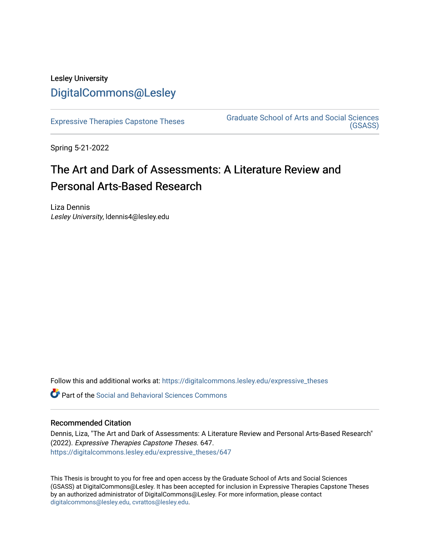## Lesley University [DigitalCommons@Lesley](https://digitalcommons.lesley.edu/)

[Expressive Therapies Capstone Theses](https://digitalcommons.lesley.edu/expressive_theses) Graduate School of Arts and Social Sciences [\(GSASS\)](https://digitalcommons.lesley.edu/gsass) 

Spring 5-21-2022

# The Art and Dark of Assessments: A Literature Review and Personal Arts-Based Research

Liza Dennis Lesley University, ldennis4@lesley.edu

Follow this and additional works at: [https://digitalcommons.lesley.edu/expressive\\_theses](https://digitalcommons.lesley.edu/expressive_theses?utm_source=digitalcommons.lesley.edu%2Fexpressive_theses%2F647&utm_medium=PDF&utm_campaign=PDFCoverPages)

Part of the [Social and Behavioral Sciences Commons](https://network.bepress.com/hgg/discipline/316?utm_source=digitalcommons.lesley.edu%2Fexpressive_theses%2F647&utm_medium=PDF&utm_campaign=PDFCoverPages) 

## Recommended Citation

Dennis, Liza, "The Art and Dark of Assessments: A Literature Review and Personal Arts-Based Research" (2022). Expressive Therapies Capstone Theses. 647. [https://digitalcommons.lesley.edu/expressive\\_theses/647](https://digitalcommons.lesley.edu/expressive_theses/647?utm_source=digitalcommons.lesley.edu%2Fexpressive_theses%2F647&utm_medium=PDF&utm_campaign=PDFCoverPages)

This Thesis is brought to you for free and open access by the Graduate School of Arts and Social Sciences (GSASS) at DigitalCommons@Lesley. It has been accepted for inclusion in Expressive Therapies Capstone Theses by an authorized administrator of DigitalCommons@Lesley. For more information, please contact [digitalcommons@lesley.edu, cvrattos@lesley.edu](mailto:digitalcommons@lesley.edu,%20cvrattos@lesley.edu).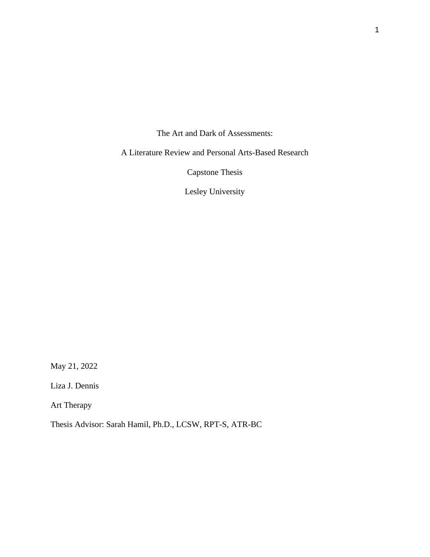The Art and Dark of Assessments:

A Literature Review and Personal Arts-Based Research

Capstone Thesis

Lesley University

May 21, 2022

Liza J. Dennis

Art Therapy

Thesis Advisor: Sarah Hamil, Ph.D., LCSW, RPT-S, ATR-BC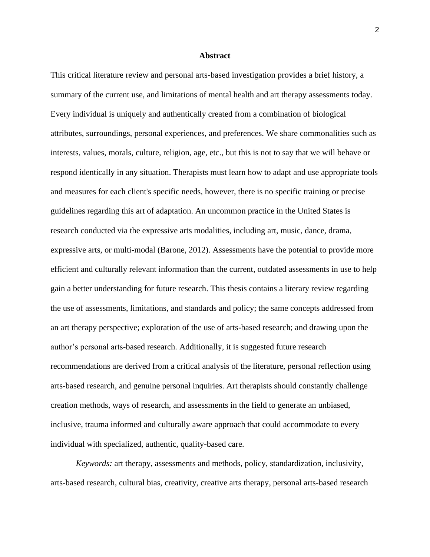#### **Abstract**

This critical literature review and personal arts-based investigation provides a brief history, a summary of the current use, and limitations of mental health and art therapy assessments today. Every individual is uniquely and authentically created from a combination of biological attributes, surroundings, personal experiences, and preferences. We share commonalities such as interests, values, morals, culture, religion, age, etc., but this is not to say that we will behave or respond identically in any situation. Therapists must learn how to adapt and use appropriate tools and measures for each client's specific needs, however, there is no specific training or precise guidelines regarding this art of adaptation. An uncommon practice in the United States is research conducted via the expressive arts modalities, including art, music, dance, drama, expressive arts, or multi-modal (Barone, 2012). Assessments have the potential to provide more efficient and culturally relevant information than the current, outdated assessments in use to help gain a better understanding for future research. This thesis contains a literary review regarding the use of assessments, limitations, and standards and policy; the same concepts addressed from an art therapy perspective; exploration of the use of arts-based research; and drawing upon the author's personal arts-based research. Additionally, it is suggested future research recommendations are derived from a critical analysis of the literature, personal reflection using arts-based research, and genuine personal inquiries. Art therapists should constantly challenge creation methods, ways of research, and assessments in the field to generate an unbiased, inclusive, trauma informed and culturally aware approach that could accommodate to every individual with specialized, authentic, quality-based care.

*Keywords:* art therapy, assessments and methods, policy, standardization, inclusivity, arts-based research, cultural bias, creativity, creative arts therapy, personal arts-based research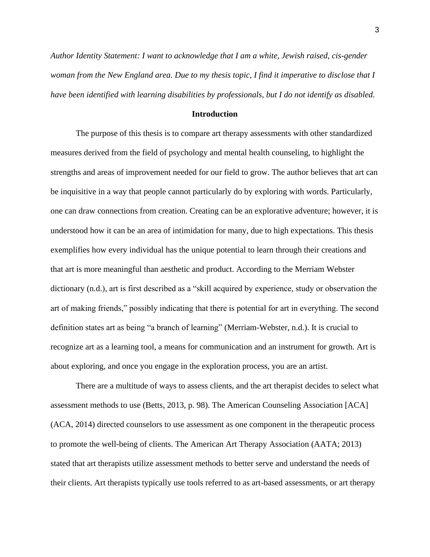*Author Identity Statement: I want to acknowledge that I am a white, Jewish raised, cis-gender woman from the New England area. Due to my thesis topic, I find it imperative to disclose that I have been identified with learning disabilities by professionals, but I do not identify as disabled.*

#### **Introduction**

The purpose of this thesis is to compare art therapy assessments with other standardized measures derived from the field of psychology and mental health counseling, to highlight the strengths and areas of improvement needed for our field to grow. The author believes that art can be inquisitive in a way that people cannot particularly do by exploring with words. Particularly, one can draw connections from creation. Creating can be an explorative adventure; however, it is understood how it can be an area of intimidation for many, due to high expectations. This thesis exemplifies how every individual has the unique potential to learn through their creations and that art is more meaningful than aesthetic and product. According to the Merriam Webster dictionary (n.d.), art is first described as a "skill acquired by experience, study or observation the art of making friends," possibly indicating that there is potential for art in everything. The second definition states art as being "a branch of learning" (Merriam-Webster, n.d.). It is crucial to recognize art as a learning tool, a means for communication and an instrument for growth. Art is about exploring, and once you engage in the exploration process, you are an artist.

There are a multitude of ways to assess clients, and the art therapist decides to select what assessment methods to use (Betts, 2013, p. 98). The American Counseling Association [ACA] (ACA, 2014) directed counselors to use assessment as one component in the therapeutic process to promote the well-being of clients. The American Art Therapy Association (AATA; 2013) stated that art therapists utilize assessment methods to better serve and understand the needs of their clients. Art therapists typically use tools referred to as art-based assessments, or art therapy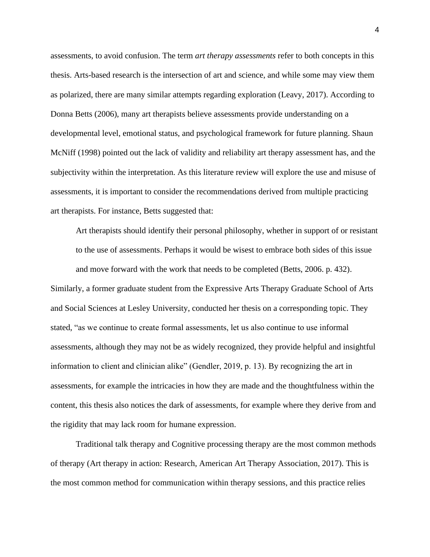assessments, to avoid confusion. The term *art therapy assessments* refer to both concepts in this thesis. Arts-based research is the intersection of art and science, and while some may view them as polarized, there are many similar attempts regarding exploration (Leavy, 2017). According to Donna Betts (2006), many art therapists believe assessments provide understanding on a developmental level, emotional status, and psychological framework for future planning. Shaun McNiff (1998) pointed out the lack of validity and reliability art therapy assessment has, and the subjectivity within the interpretation. As this literature review will explore the use and misuse of assessments, it is important to consider the recommendations derived from multiple practicing art therapists. For instance, Betts suggested that:

Art therapists should identify their personal philosophy, whether in support of or resistant to the use of assessments. Perhaps it would be wisest to embrace both sides of this issue and move forward with the work that needs to be completed (Betts, 2006. p. 432). Similarly, a former graduate student from the Expressive Arts Therapy Graduate School of Arts and Social Sciences at Lesley University, conducted her thesis on a corresponding topic. They stated, "as we continue to create formal assessments, let us also continue to use informal assessments, although they may not be as widely recognized, they provide helpful and insightful information to client and clinician alike" (Gendler, 2019, p. 13). By recognizing the art in assessments, for example the intricacies in how they are made and the thoughtfulness within the content, this thesis also notices the dark of assessments, for example where they derive from and the rigidity that may lack room for humane expression.

Traditional talk therapy and Cognitive processing therapy are the most common methods of therapy (Art therapy in action: Research, American Art Therapy Association, 2017). This is the most common method for communication within therapy sessions, and this practice relies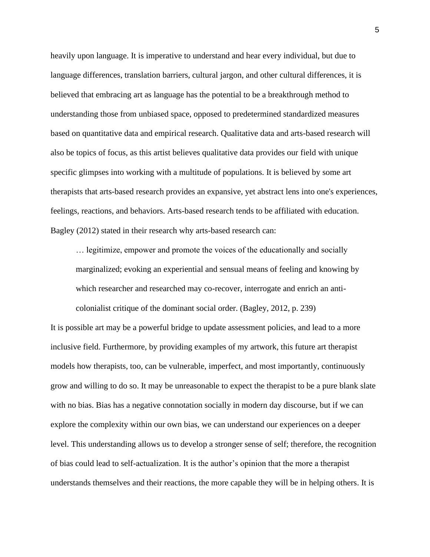heavily upon language. It is imperative to understand and hear every individual, but due to language differences, translation barriers, cultural jargon, and other cultural differences, it is believed that embracing art as language has the potential to be a breakthrough method to understanding those from unbiased space, opposed to predetermined standardized measures based on quantitative data and empirical research. Qualitative data and arts-based research will also be topics of focus, as this artist believes qualitative data provides our field with unique specific glimpses into working with a multitude of populations. It is believed by some art therapists that arts-based research provides an expansive, yet abstract lens into one's experiences, feelings, reactions, and behaviors. Arts-based research tends to be affiliated with education. Bagley (2012) stated in their research why arts-based research can:

… legitimize, empower and promote the voices of the educationally and socially marginalized; evoking an experiential and sensual means of feeling and knowing by which researcher and researched may co-recover, interrogate and enrich an anticolonialist critique of the dominant social order. (Bagley, 2012, p. 239)

It is possible art may be a powerful bridge to update assessment policies, and lead to a more inclusive field. Furthermore, by providing examples of my artwork, this future art therapist models how therapists, too, can be vulnerable, imperfect, and most importantly, continuously grow and willing to do so. It may be unreasonable to expect the therapist to be a pure blank slate with no bias. Bias has a negative connotation socially in modern day discourse, but if we can explore the complexity within our own bias, we can understand our experiences on a deeper level. This understanding allows us to develop a stronger sense of self; therefore, the recognition of bias could lead to self-actualization. It is the author's opinion that the more a therapist understands themselves and their reactions, the more capable they will be in helping others. It is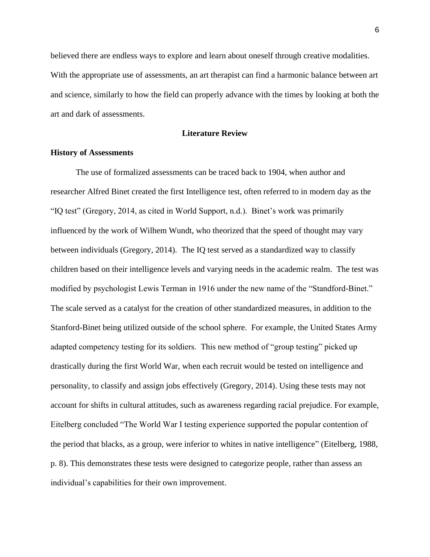believed there are endless ways to explore and learn about oneself through creative modalities. With the appropriate use of assessments, an art therapist can find a harmonic balance between art and science, similarly to how the field can properly advance with the times by looking at both the art and dark of assessments.

## **Literature Review**

## **History of Assessments**

The use of formalized assessments can be traced back to 1904, when author and researcher Alfred Binet created the first Intelligence test, often referred to in modern day as the "IQ test" (Gregory, 2014, as cited in World Support, n.d.). Binet's work was primarily influenced by the work of Wilhem Wundt, who theorized that the speed of thought may vary between individuals (Gregory, 2014). The IQ test served as a standardized way to classify children based on their intelligence levels and varying needs in the academic realm. The test was modified by psychologist Lewis Terman in 1916 under the new name of the "Standford-Binet." The scale served as a catalyst for the creation of other standardized measures, in addition to the Stanford-Binet being utilized outside of the school sphere. For example, the United States Army adapted competency testing for its soldiers. This new method of "group testing" picked up drastically during the first World War, when each recruit would be tested on intelligence and personality, to classify and assign jobs effectively (Gregory, 2014). Using these tests may not account for shifts in cultural attitudes, such as awareness regarding racial prejudice. For example, Eitelberg concluded "The World War I testing experience supported the popular contention of the period that blacks, as a group, were inferior to whites in native intelligence" (Eitelberg, 1988, p. 8). This demonstrates these tests were designed to categorize people, rather than assess an individual's capabilities for their own improvement.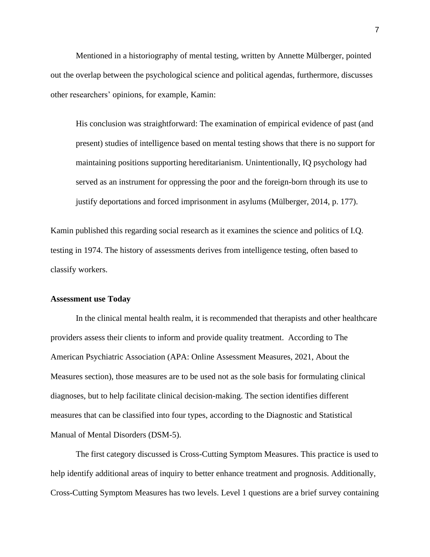Mentioned in a historiography of mental testing, written by Annette Mülberger, pointed out the overlap between the psychological science and political agendas, furthermore, discusses other researchers' opinions, for example, Kamin:

His conclusion was straightforward: The examination of empirical evidence of past (and present) studies of intelligence based on mental testing shows that there is no support for maintaining positions supporting hereditarianism. Unintentionally, IQ psychology had served as an instrument for oppressing the poor and the foreign-born through its use to justify deportations and forced imprisonment in asylums (Mülberger, 2014, p. 177).

Kamin published this regarding social research as it examines the science and politics of I.Q. testing in 1974. The history of assessments derives from intelligence testing, often based to classify workers.

## **Assessment use Today**

In the clinical mental health realm, it is recommended that therapists and other healthcare providers assess their clients to inform and provide quality treatment. According to The American Psychiatric Association (APA: Online Assessment Measures, 2021, About the Measures section), those measures are to be used not as the sole basis for formulating clinical diagnoses, but to help facilitate clinical decision-making. The section identifies different measures that can be classified into four types, according to the Diagnostic and Statistical Manual of Mental Disorders (DSM-5).

The first category discussed is Cross-Cutting Symptom Measures. This practice is used to help identify additional areas of inquiry to better enhance treatment and prognosis. Additionally, Cross-Cutting Symptom Measures has two levels. Level 1 questions are a brief survey containing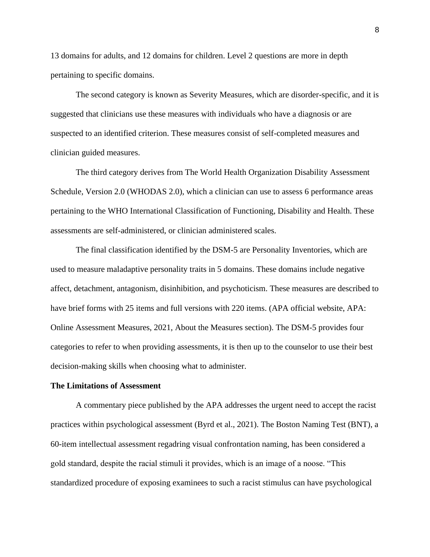13 domains for adults, and 12 domains for children. Level 2 questions are more in depth pertaining to specific domains.

The second category is known as Severity Measures, which are disorder-specific, and it is suggested that clinicians use these measures with individuals who have a diagnosis or are suspected to an identified criterion. These measures consist of self-completed measures and clinician guided measures.

The third category derives from The World Health Organization Disability Assessment Schedule, Version 2.0 (WHODAS 2.0), which a clinician can use to assess 6 performance areas pertaining to the WHO International Classification of Functioning, Disability and Health. These assessments are self-administered, or clinician administered scales.

The final classification identified by the DSM-5 are Personality Inventories, which are used to measure maladaptive personality traits in 5 domains. These domains include negative affect, detachment, antagonism, disinhibition, and psychoticism. These measures are described to have brief forms with 25 items and full versions with 220 items. (APA official website, APA: Online Assessment Measures, 2021, About the Measures section). The DSM-5 provides four categories to refer to when providing assessments, it is then up to the counselor to use their best decision-making skills when choosing what to administer.

## **The Limitations of Assessment**

A commentary piece published by the APA addresses the urgent need to accept the racist practices within psychological assessment (Byrd et al., 2021). The Boston Naming Test (BNT), a 60-item intellectual assessment regadring visual confrontation naming, has been considered a gold standard, despite the racial stimuli it provides, which is an image of a noose. "This standardized procedure of exposing examinees to such a racist stimulus can have psychological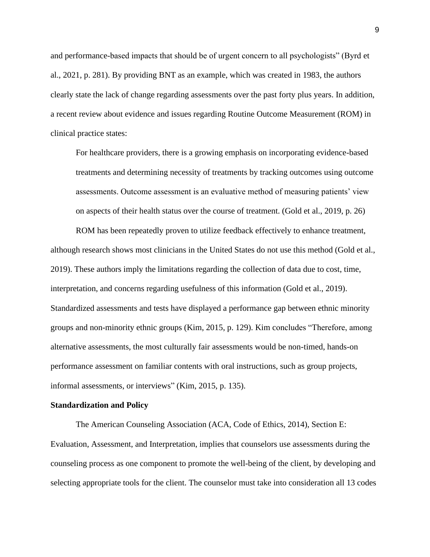and performance-based impacts that should be of urgent concern to all psychologists" (Byrd et al., 2021, p. 281). By providing BNT as an example, which was created in 1983, the authors clearly state the lack of change regarding assessments over the past forty plus years. In addition, a recent review about evidence and issues regarding Routine Outcome Measurement (ROM) in clinical practice states:

For healthcare providers, there is a growing emphasis on incorporating evidence-based treatments and determining necessity of treatments by tracking outcomes using outcome assessments. Outcome assessment is an evaluative method of measuring patients' view on aspects of their health status over the course of treatment. (Gold et al., 2019, p. 26)

ROM has been repeatedly proven to utilize feedback effectively to enhance treatment, although research shows most clinicians in the United States do not use this method (Gold et al., 2019). These authors imply the limitations regarding the collection of data due to cost, time, interpretation, and concerns regarding usefulness of this information (Gold et al., 2019). Standardized assessments and tests have displayed a performance gap between ethnic minority groups and non-minority ethnic groups (Kim, 2015, p. 129). Kim concludes "Therefore, among alternative assessments, the most culturally fair assessments would be non-timed, hands-on performance assessment on familiar contents with oral instructions, such as group projects, informal assessments, or interviews" (Kim, 2015, p. 135).

#### **Standardization and Policy**

The American Counseling Association (ACA, Code of Ethics, 2014), Section E: Evaluation, Assessment, and Interpretation, implies that counselors use assessments during the counseling process as one component to promote the well-being of the client, by developing and selecting appropriate tools for the client. The counselor must take into consideration all 13 codes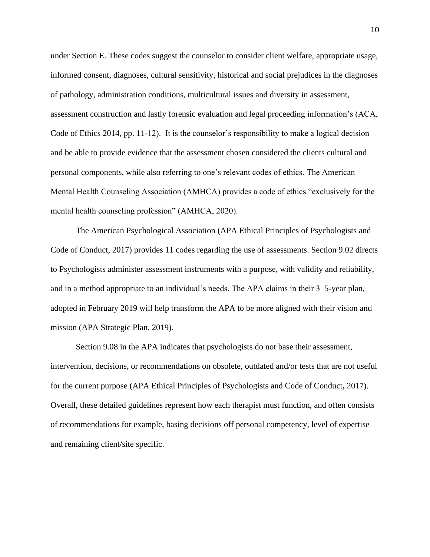under Section E. These codes suggest the counselor to consider client welfare, appropriate usage, informed consent, diagnoses, cultural sensitivity, historical and social prejudices in the diagnoses of pathology, administration conditions, multicultural issues and diversity in assessment, assessment construction and lastly forensic evaluation and legal proceeding information's (ACA, Code of Ethics 2014, pp. 11-12). It is the counselor's responsibility to make a logical decision and be able to provide evidence that the assessment chosen considered the clients cultural and personal components, while also referring to one's relevant codes of ethics. The American Mental Health Counseling Association (AMHCA) provides a code of ethics "exclusively for the mental health counseling profession" (AMHCA, 2020).

The American Psychological Association (APA Ethical Principles of Psychologists and Code of Conduct, 2017) provides 11 codes regarding the use of assessments. Section 9.02 directs to Psychologists administer assessment instruments with a purpose, with validity and reliability, and in a method appropriate to an individual's needs. The APA claims in their 3–5-year plan, adopted in February 2019 will help transform the APA to be more aligned with their vision and mission (APA Strategic Plan, 2019).

Section 9.08 in the APA indicates that psychologists do not base their assessment, intervention, decisions, or recommendations on obsolete, outdated and/or tests that are not useful for the current purpose (APA Ethical Principles of Psychologists and Code of Conduct**,** 2017). Overall, these detailed guidelines represent how each therapist must function, and often consists of recommendations for example, basing decisions off personal competency, level of expertise and remaining client/site specific.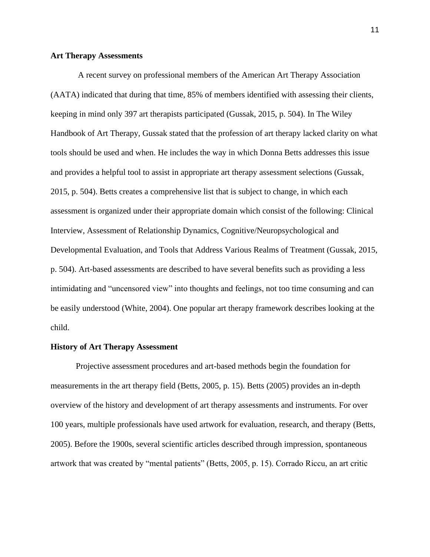#### **Art Therapy Assessments**

 A recent survey on professional members of the American Art Therapy Association (AATA) indicated that during that time, 85% of members identified with assessing their clients, keeping in mind only 397 art therapists participated (Gussak, 2015, p. 504). In The Wiley Handbook of Art Therapy, Gussak stated that the profession of art therapy lacked clarity on what tools should be used and when. He includes the way in which Donna Betts addresses this issue and provides a helpful tool to assist in appropriate art therapy assessment selections (Gussak, 2015, p. 504). Betts creates a comprehensive list that is subject to change, in which each assessment is organized under their appropriate domain which consist of the following: Clinical Interview, Assessment of Relationship Dynamics, Cognitive/Neuropsychological and Developmental Evaluation, and Tools that Address Various Realms of Treatment (Gussak, 2015, p. 504). Art-based assessments are described to have several benefits such as providing a less intimidating and "uncensored view" into thoughts and feelings, not too time consuming and can be easily understood (White, 2004). One popular art therapy framework describes looking at the child.

#### **History of Art Therapy Assessment**

Projective assessment procedures and art-based methods begin the foundation for measurements in the art therapy field (Betts, 2005, p. 15). Betts (2005) provides an in-depth overview of the history and development of art therapy assessments and instruments. For over 100 years, multiple professionals have used artwork for evaluation, research, and therapy (Betts, 2005). Before the 1900s, several scientific articles described through impression, spontaneous artwork that was created by "mental patients" (Betts, 2005, p. 15). Corrado Riccu, an art critic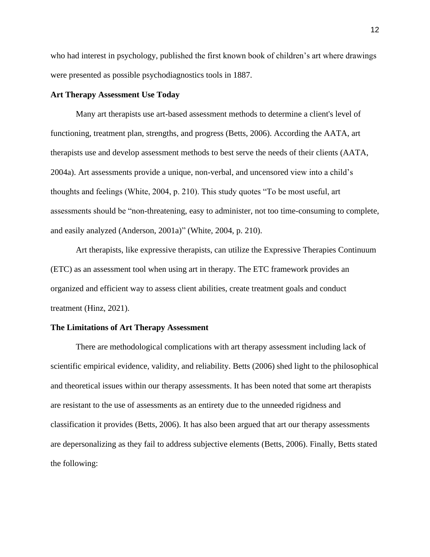who had interest in psychology, published the first known book of children's art where drawings were presented as possible psychodiagnostics tools in 1887.

## **Art Therapy Assessment Use Today**

Many art therapists use art-based assessment methods to determine a client's level of functioning, treatment plan, strengths, and progress (Betts, 2006). According the AATA, art therapists use and develop assessment methods to best serve the needs of their clients (AATA, 2004a). Art assessments provide a unique, non-verbal, and uncensored view into a child's thoughts and feelings (White, 2004, p. 210). This study quotes "To be most useful, art assessments should be "non-threatening, easy to administer, not too time-consuming to complete, and easily analyzed (Anderson, 2001a)" (White, 2004, p. 210).

 Art therapists, like expressive therapists, can utilize the Expressive Therapies Continuum (ETC) as an assessment tool when using art in therapy. The ETC framework provides an organized and efficient way to assess client abilities, create treatment goals and conduct treatment (Hinz, 2021).

#### **The Limitations of Art Therapy Assessment**

There are methodological complications with art therapy assessment including lack of scientific empirical evidence, validity, and reliability. Betts (2006) shed light to the philosophical and theoretical issues within our therapy assessments. It has been noted that some art therapists are resistant to the use of assessments as an entirety due to the unneeded rigidness and classification it provides (Betts, 2006). It has also been argued that art our therapy assessments are depersonalizing as they fail to address subjective elements (Betts, 2006). Finally, Betts stated the following: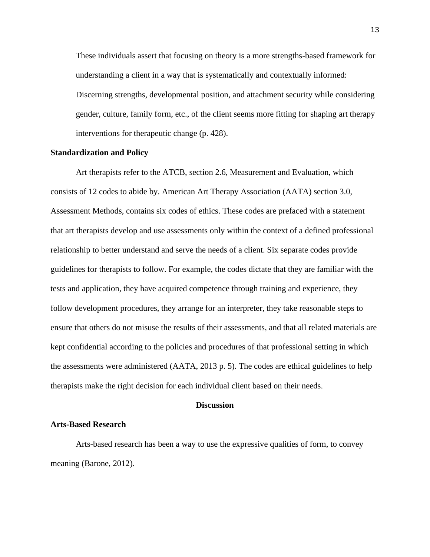These individuals assert that focusing on theory is a more strengths-based framework for understanding a client in a way that is systematically and contextually informed: Discerning strengths, developmental position, and attachment security while considering gender, culture, family form, etc., of the client seems more fitting for shaping art therapy interventions for therapeutic change (p. 428).

## **Standardization and Policy**

Art therapists refer to the ATCB, section 2.6, Measurement and Evaluation, which consists of 12 codes to abide by. American Art Therapy Association (AATA) section 3.0, Assessment Methods, contains six codes of ethics. These codes are prefaced with a statement that art therapists develop and use assessments only within the context of a defined professional relationship to better understand and serve the needs of a client. Six separate codes provide guidelines for therapists to follow. For example, the codes dictate that they are familiar with the tests and application, they have acquired competence through training and experience, they follow development procedures, they arrange for an interpreter, they take reasonable steps to ensure that others do not misuse the results of their assessments, and that all related materials are kept confidential according to the policies and procedures of that professional setting in which the assessments were administered (AATA, 2013 p. 5). The codes are ethical guidelines to help therapists make the right decision for each individual client based on their needs.

#### **Discussion**

#### **Arts-Based Research**

Arts-based research has been a way to use the expressive qualities of form, to convey meaning (Barone, 2012).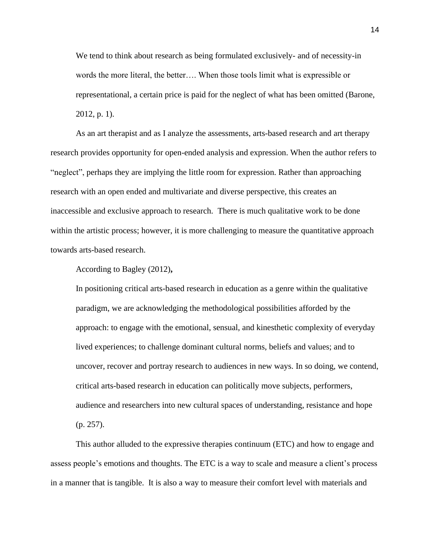We tend to think about research as being formulated exclusively- and of necessity-in words the more literal, the better…. When those tools limit what is expressible or representational, a certain price is paid for the neglect of what has been omitted (Barone, 2012, p. 1).

As an art therapist and as I analyze the assessments, arts-based research and art therapy research provides opportunity for open-ended analysis and expression. When the author refers to "neglect", perhaps they are implying the little room for expression. Rather than approaching research with an open ended and multivariate and diverse perspective, this creates an inaccessible and exclusive approach to research. There is much qualitative work to be done within the artistic process; however, it is more challenging to measure the quantitative approach towards arts-based research.

According to Bagley (2012)**,**

In positioning critical arts-based research in education as a genre within the qualitative paradigm, we are acknowledging the methodological possibilities afforded by the approach: to engage with the emotional, sensual, and kinesthetic complexity of everyday lived experiences; to challenge dominant cultural norms, beliefs and values; and to uncover, recover and portray research to audiences in new ways. In so doing, we contend, critical arts-based research in education can politically move subjects, performers, audience and researchers into new cultural spaces of understanding, resistance and hope (p. 257).

This author alluded to the expressive therapies continuum (ETC) and how to engage and assess people's emotions and thoughts. The ETC is a way to scale and measure a client's process in a manner that is tangible. It is also a way to measure their comfort level with materials and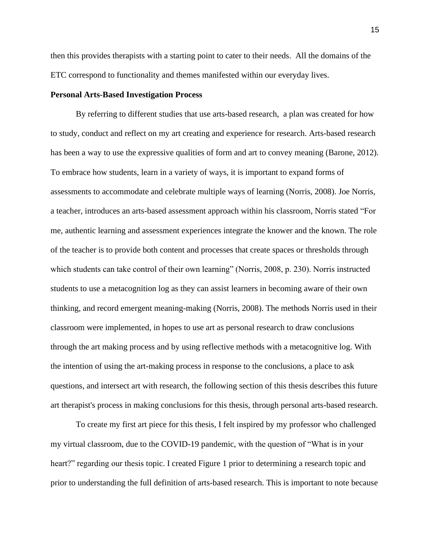then this provides therapists with a starting point to cater to their needs. All the domains of the ETC correspond to functionality and themes manifested within our everyday lives.

## **Personal Arts-Based Investigation Process**

By referring to different studies that use arts-based research, a plan was created for how to study, conduct and reflect on my art creating and experience for research. Arts-based research has been a way to use the expressive qualities of form and art to convey meaning (Barone, 2012). To embrace how students, learn in a variety of ways, it is important to expand forms of assessments to accommodate and celebrate multiple ways of learning (Norris, 2008). Joe Norris, a teacher, introduces an arts-based assessment approach within his classroom, Norris stated "For me, authentic learning and assessment experiences integrate the knower and the known. The role of the teacher is to provide both content and processes that create spaces or thresholds through which students can take control of their own learning" (Norris, 2008, p. 230). Norris instructed students to use a metacognition log as they can assist learners in becoming aware of their own thinking, and record emergent meaning-making (Norris, 2008). The methods Norris used in their classroom were implemented, in hopes to use art as personal research to draw conclusions through the art making process and by using reflective methods with a metacognitive log. With the intention of using the art-making process in response to the conclusions, a place to ask questions, and intersect art with research, the following section of this thesis describes this future art therapist's process in making conclusions for this thesis, through personal arts-based research.

To create my first art piece for this thesis, I felt inspired by my professor who challenged my virtual classroom, due to the COVID-19 pandemic, with the question of "What is in your heart?" regarding our thesis topic. I created Figure 1 prior to determining a research topic and prior to understanding the full definition of arts-based research. This is important to note because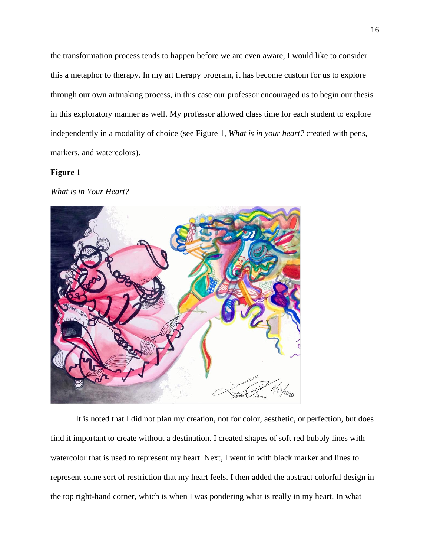the transformation process tends to happen before we are even aware, I would like to consider this a metaphor to therapy. In my art therapy program, it has become custom for us to explore through our own artmaking process, in this case our professor encouraged us to begin our thesis in this exploratory manner as well. My professor allowed class time for each student to explore independently in a modality of choice (see Figure 1, *What is in your heart?* created with pens, markers, and watercolors).

## **Figure 1**

*What is in Your Heart?*



It is noted that I did not plan my creation, not for color, aesthetic, or perfection, but does find it important to create without a destination. I created shapes of soft red bubbly lines with watercolor that is used to represent my heart. Next, I went in with black marker and lines to represent some sort of restriction that my heart feels. I then added the abstract colorful design in the top right-hand corner, which is when I was pondering what is really in my heart. In what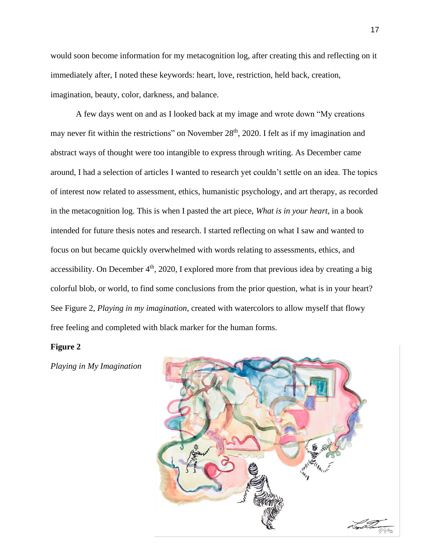would soon become information for my metacognition log, after creating this and reflecting on it immediately after, I noted these keywords: heart, love, restriction, held back, creation, imagination, beauty, color, darkness, and balance.

 A few days went on and as I looked back at my image and wrote down "My creations may never fit within the restrictions" on November 28<sup>th</sup>, 2020. I felt as if my imagination and abstract ways of thought were too intangible to express through writing. As December came around, I had a selection of articles I wanted to research yet couldn't settle on an idea. The topics of interest now related to assessment, ethics, humanistic psychology, and art therapy, as recorded in the metacognition log. This is when I pasted the art piece, *What is in your heart,* in a book intended for future thesis notes and research. I started reflecting on what I saw and wanted to focus on but became quickly overwhelmed with words relating to assessments, ethics, and accessibility. On December  $4<sup>th</sup>$ , 2020, I explored more from that previous idea by creating a big colorful blob, or world, to find some conclusions from the prior question, what is in your heart? See Figure 2, *Playing in my imagination,* created with watercolors to allow myself that flowy free feeling and completed with black marker for the human forms.

#### **Figure 2**

*Playing in My Imagination*

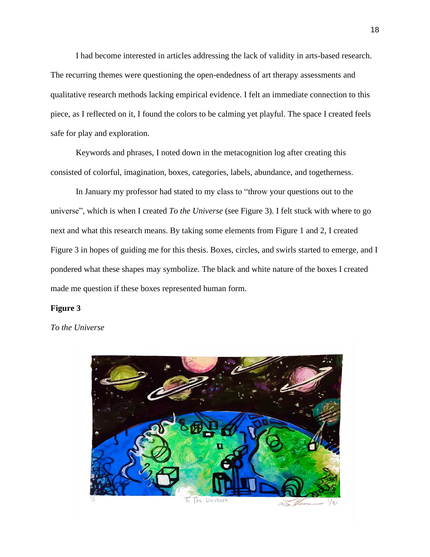I had become interested in articles addressing the lack of validity in arts-based research. The recurring themes were questioning the open-endedness of art therapy assessments and qualitative research methods lacking empirical evidence. I felt an immediate connection to this piece, as I reflected on it, I found the colors to be calming yet playful. The space I created feels safe for play and exploration.

Keywords and phrases, I noted down in the metacognition log after creating this consisted of colorful, imagination, boxes, categories, labels, abundance, and togetherness.

In January my professor had stated to my class to "throw your questions out to the universe", which is when I created *To the Universe* (see Figure 3). I felt stuck with where to go next and what this research means. By taking some elements from Figure 1 and 2, I created Figure 3 in hopes of guiding me for this thesis. Boxes, circles, and swirls started to emerge, and I pondered what these shapes may symbolize. The black and white nature of the boxes I created made me question if these boxes represented human form.

#### **Figure 3**

*To the Universe*

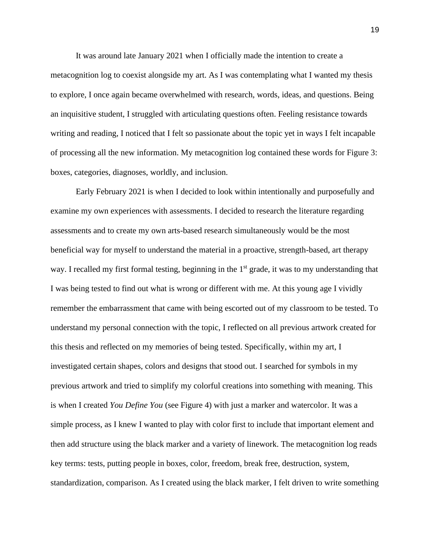It was around late January 2021 when I officially made the intention to create a metacognition log to coexist alongside my art. As I was contemplating what I wanted my thesis to explore, I once again became overwhelmed with research, words, ideas, and questions. Being an inquisitive student, I struggled with articulating questions often. Feeling resistance towards writing and reading, I noticed that I felt so passionate about the topic yet in ways I felt incapable of processing all the new information. My metacognition log contained these words for Figure 3: boxes, categories, diagnoses, worldly, and inclusion.

 Early February 2021 is when I decided to look within intentionally and purposefully and examine my own experiences with assessments. I decided to research the literature regarding assessments and to create my own arts-based research simultaneously would be the most beneficial way for myself to understand the material in a proactive, strength-based, art therapy way. I recalled my first formal testing, beginning in the  $1<sup>st</sup>$  grade, it was to my understanding that I was being tested to find out what is wrong or different with me. At this young age I vividly remember the embarrassment that came with being escorted out of my classroom to be tested. To understand my personal connection with the topic, I reflected on all previous artwork created for this thesis and reflected on my memories of being tested. Specifically, within my art, I investigated certain shapes, colors and designs that stood out. I searched for symbols in my previous artwork and tried to simplify my colorful creations into something with meaning. This is when I created *You Define You* (see Figure 4) with just a marker and watercolor. It was a simple process, as I knew I wanted to play with color first to include that important element and then add structure using the black marker and a variety of linework. The metacognition log reads key terms: tests, putting people in boxes, color, freedom, break free, destruction, system, standardization, comparison. As I created using the black marker, I felt driven to write something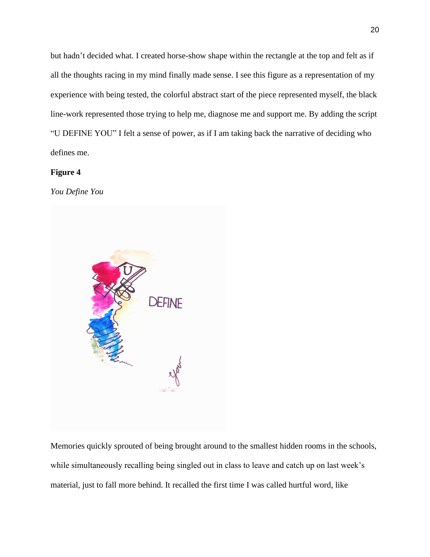but hadn't decided what. I created horse-show shape within the rectangle at the top and felt as if all the thoughts racing in my mind finally made sense. I see this figure as a representation of my experience with being tested, the colorful abstract start of the piece represented myself, the black line-work represented those trying to help me, diagnose me and support me. By adding the script "U DEFINE YOU" I felt a sense of power, as if I am taking back the narrative of deciding who defines me.

## **Figure 4**

*You Define You*

![](_page_20_Picture_3.jpeg)

Memories quickly sprouted of being brought around to the smallest hidden rooms in the schools, while simultaneously recalling being singled out in class to leave and catch up on last week's material, just to fall more behind. It recalled the first time I was called hurtful word, like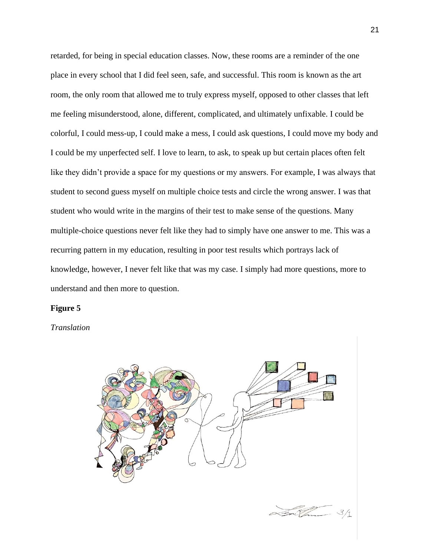retarded, for being in special education classes. Now, these rooms are a reminder of the one place in every school that I did feel seen, safe, and successful. This room is known as the art room, the only room that allowed me to truly express myself, opposed to other classes that left me feeling misunderstood, alone, different, complicated, and ultimately unfixable. I could be colorful, I could mess-up, I could make a mess, I could ask questions, I could move my body and I could be my unperfected self. I love to learn, to ask, to speak up but certain places often felt like they didn't provide a space for my questions or my answers. For example, I was always that student to second guess myself on multiple choice tests and circle the wrong answer. I was that student who would write in the margins of their test to make sense of the questions. Many multiple-choice questions never felt like they had to simply have one answer to me. This was a recurring pattern in my education, resulting in poor test results which portrays lack of knowledge, however, I never felt like that was my case. I simply had more questions, more to understand and then more to question.

#### **Figure 5**

*Translation*

![](_page_21_Picture_3.jpeg)

![](_page_21_Picture_4.jpeg)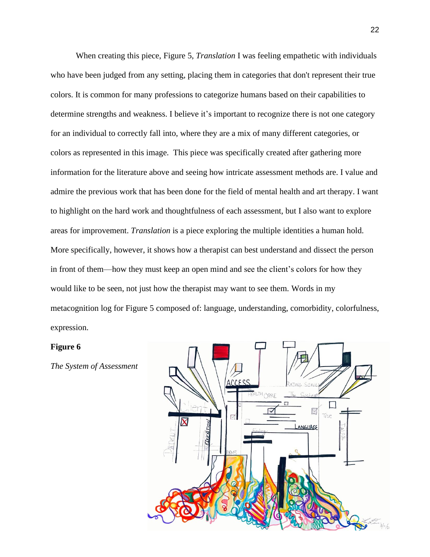When creating this piece, Figure 5, *Translation* I was feeling empathetic with individuals who have been judged from any setting, placing them in categories that don't represent their true colors. It is common for many professions to categorize humans based on their capabilities to determine strengths and weakness. I believe it's important to recognize there is not one category for an individual to correctly fall into, where they are a mix of many different categories, or colors as represented in this image. This piece was specifically created after gathering more information for the literature above and seeing how intricate assessment methods are. I value and admire the previous work that has been done for the field of mental health and art therapy. I want to highlight on the hard work and thoughtfulness of each assessment, but I also want to explore areas for improvement. *Translation* is a piece exploring the multiple identities a human hold. More specifically, however, it shows how a therapist can best understand and dissect the person in front of them—how they must keep an open mind and see the client's colors for how they would like to be seen, not just how the therapist may want to see them. Words in my metacognition log for Figure 5 composed of: language, understanding, comorbidity, colorfulness, expression.

#### **Figure 6**

![](_page_22_Figure_2.jpeg)

*The System of Assessment*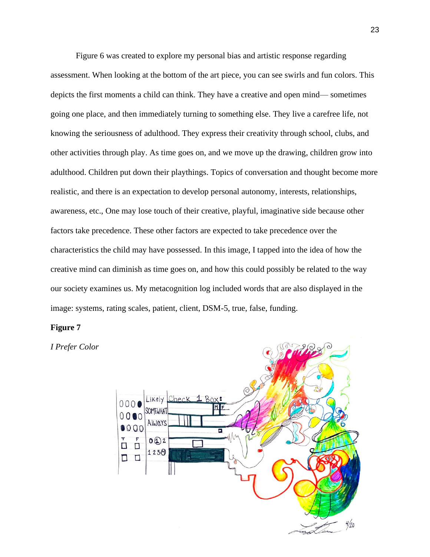Figure 6 was created to explore my personal bias and artistic response regarding assessment. When looking at the bottom of the art piece, you can see swirls and fun colors. This depicts the first moments a child can think. They have a creative and open mind— sometimes going one place, and then immediately turning to something else. They live a carefree life, not knowing the seriousness of adulthood. They express their creativity through school, clubs, and other activities through play. As time goes on, and we move up the drawing, children grow into adulthood. Children put down their playthings. Topics of conversation and thought become more realistic, and there is an expectation to develop personal autonomy, interests, relationships, awareness, etc., One may lose touch of their creative, playful, imaginative side because other factors take precedence. These other factors are expected to take precedence over the characteristics the child may have possessed. In this image, I tapped into the idea of how the creative mind can diminish as time goes on, and how this could possibly be related to the way our society examines us. My metacognition log included words that are also displayed in the image: systems, rating scales, patient, client, DSM-5, true, false, funding.

## **Figure 7**

![](_page_23_Figure_2.jpeg)

*I Prefer Color*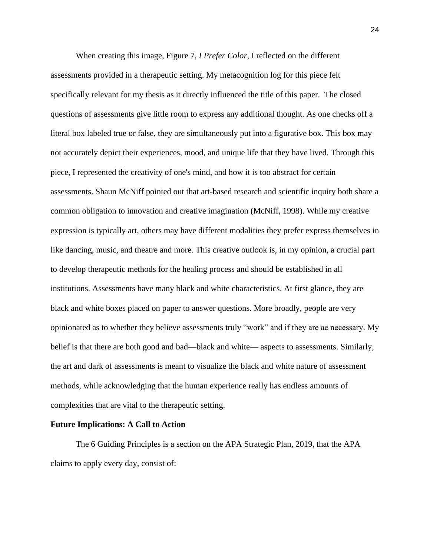When creating this image, Figure 7, *I Prefer Color*, I reflected on the different assessments provided in a therapeutic setting. My metacognition log for this piece felt specifically relevant for my thesis as it directly influenced the title of this paper. The closed questions of assessments give little room to express any additional thought. As one checks off a literal box labeled true or false, they are simultaneously put into a figurative box. This box may not accurately depict their experiences, mood, and unique life that they have lived. Through this piece, I represented the creativity of one's mind, and how it is too abstract for certain assessments. Shaun McNiff pointed out that art-based research and scientific inquiry both share a common obligation to innovation and creative imagination (McNiff, 1998). While my creative expression is typically art, others may have different modalities they prefer express themselves in like dancing, music, and theatre and more. This creative outlook is, in my opinion, a crucial part to develop therapeutic methods for the healing process and should be established in all institutions. Assessments have many black and white characteristics. At first glance, they are black and white boxes placed on paper to answer questions. More broadly, people are very opinionated as to whether they believe assessments truly "work" and if they are ae necessary. My belief is that there are both good and bad—black and white— aspects to assessments. Similarly, the art and dark of assessments is meant to visualize the black and white nature of assessment methods, while acknowledging that the human experience really has endless amounts of complexities that are vital to the therapeutic setting.

#### **Future Implications: A Call to Action**

The 6 Guiding Principles is a section on the APA Strategic Plan, 2019, that the APA claims to apply every day, consist of:

24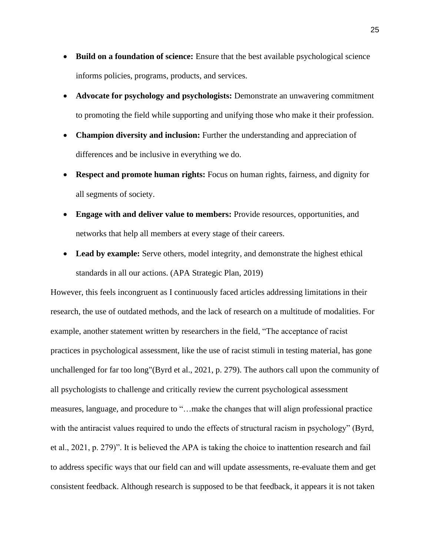- **Build on a foundation of science:** Ensure that the best available psychological science informs policies, programs, products, and services.
- **Advocate for psychology and psychologists:** Demonstrate an unwavering commitment to promoting the field while supporting and unifying those who make it their profession.
- **Champion diversity and inclusion:** Further the understanding and appreciation of differences and be inclusive in everything we do.
- **Respect and promote human rights:** Focus on human rights, fairness, and dignity for all segments of society.
- **Engage with and deliver value to members:** Provide resources, opportunities, and networks that help all members at every stage of their careers.
- Lead by example: Serve others, model integrity, and demonstrate the highest ethical standards in all our actions. (APA Strategic Plan, 2019)

However, this feels incongruent as I continuously faced articles addressing limitations in their research, the use of outdated methods, and the lack of research on a multitude of modalities. For example, another statement written by researchers in the field, "The acceptance of racist practices in psychological assessment, like the use of racist stimuli in testing material, has gone unchallenged for far too long"(Byrd et al., 2021, p. 279). The authors call upon the community of all psychologists to challenge and critically review the current psychological assessment measures, language, and procedure to "…make the changes that will align professional practice with the antiracist values required to undo the effects of structural racism in psychology" (Byrd, et al., 2021, p. 279)". It is believed the APA is taking the choice to inattention research and fail to address specific ways that our field can and will update assessments, re-evaluate them and get consistent feedback. Although research is supposed to be that feedback, it appears it is not taken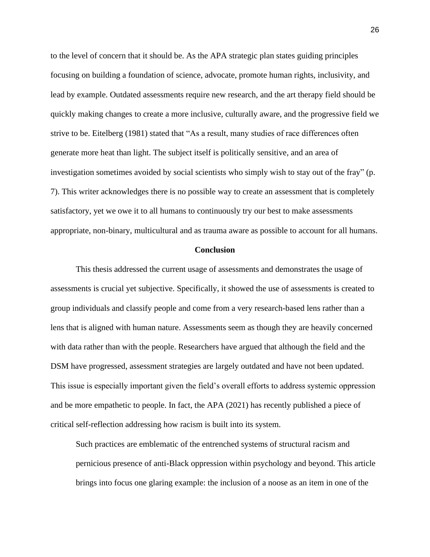to the level of concern that it should be. As the APA strategic plan states guiding principles focusing on building a foundation of science, advocate, promote human rights, inclusivity, and lead by example. Outdated assessments require new research, and the art therapy field should be quickly making changes to create a more inclusive, culturally aware, and the progressive field we strive to be. Eitelberg (1981) stated that "As a result, many studies of race differences often generate more heat than light. The subject itself is politically sensitive, and an area of investigation sometimes avoided by social scientists who simply wish to stay out of the fray" (p. 7). This writer acknowledges there is no possible way to create an assessment that is completely satisfactory, yet we owe it to all humans to continuously try our best to make assessments appropriate, non-binary, multicultural and as trauma aware as possible to account for all humans.

#### **Conclusion**

This thesis addressed the current usage of assessments and demonstrates the usage of assessments is crucial yet subjective. Specifically, it showed the use of assessments is created to group individuals and classify people and come from a very research-based lens rather than a lens that is aligned with human nature. Assessments seem as though they are heavily concerned with data rather than with the people. Researchers have argued that although the field and the DSM have progressed, assessment strategies are largely outdated and have not been updated. This issue is especially important given the field's overall efforts to address systemic oppression and be more empathetic to people. In fact, the APA (2021) has recently published a piece of critical self-reflection addressing how racism is built into its system.

Such practices are emblematic of the entrenched systems of structural racism and pernicious presence of anti-Black oppression within psychology and beyond. This article brings into focus one glaring example: the inclusion of a noose as an item in one of the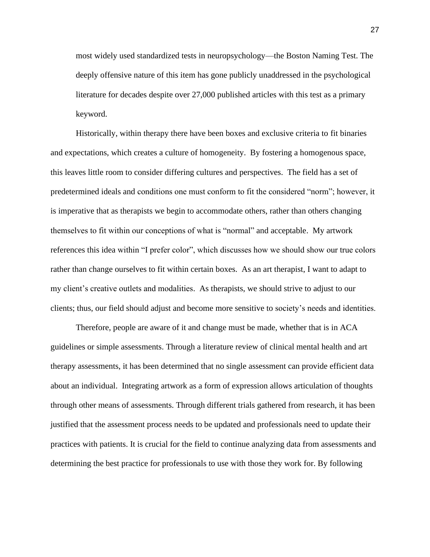most widely used standardized tests in neuropsychology—the Boston Naming Test. The deeply offensive nature of this item has gone publicly unaddressed in the psychological literature for decades despite over 27,000 published articles with this test as a primary keyword.

Historically, within therapy there have been boxes and exclusive criteria to fit binaries and expectations, which creates a culture of homogeneity. By fostering a homogenous space, this leaves little room to consider differing cultures and perspectives. The field has a set of predetermined ideals and conditions one must conform to fit the considered "norm"; however, it is imperative that as therapists we begin to accommodate others, rather than others changing themselves to fit within our conceptions of what is "normal" and acceptable. My artwork references this idea within "I prefer color", which discusses how we should show our true colors rather than change ourselves to fit within certain boxes. As an art therapist, I want to adapt to my client's creative outlets and modalities. As therapists, we should strive to adjust to our clients; thus, our field should adjust and become more sensitive to society's needs and identities.

Therefore, people are aware of it and change must be made, whether that is in ACA guidelines or simple assessments. Through a literature review of clinical mental health and art therapy assessments, it has been determined that no single assessment can provide efficient data about an individual. Integrating artwork as a form of expression allows articulation of thoughts through other means of assessments. Through different trials gathered from research, it has been justified that the assessment process needs to be updated and professionals need to update their practices with patients. It is crucial for the field to continue analyzing data from assessments and determining the best practice for professionals to use with those they work for. By following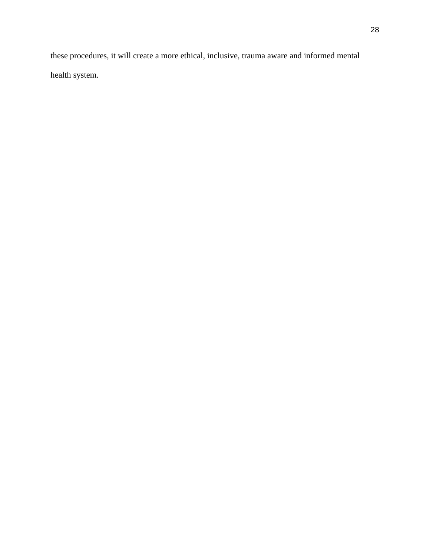these procedures, it will create a more ethical, inclusive, trauma aware and informed mental health system.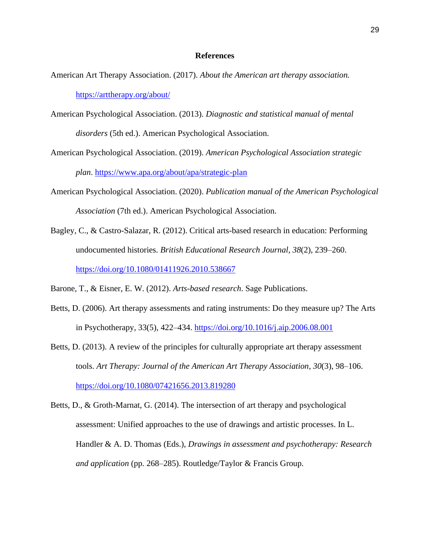## **References**

- American Art Therapy Association. (2017). *About the American art therapy association.* <https://arttherapy.org/about/>
- American Psychological Association. (2013). *Diagnostic and statistical manual of mental disorders* (5th ed.). American Psychological Association.
- American Psychological Association. (2019). *American Psychological Association strategic plan*. <https://www.apa.org/about/apa/strategic-plan>
- American Psychological Association. (2020). *Publication manual of the American Psychological Association* (7th ed.). American Psychological Association.
- Bagley, C., & Castro-Salazar, R. (2012). Critical arts-based research in education: Performing undocumented histories. *British Educational Research Journal*, *38*(2), 239–260[.](https://doi.org/10.1080/01411926.2010.538667) <https://doi.org/10.1080/01411926.2010.538667>
- Barone, T., & Eisner, E. W. (2012). *Arts-based research*. Sage Publications.
- Betts, D. (2006). Art therapy assessments and rating instruments: Do they measure up? The Arts in Psychotherapy, 33(5), 422–434[.](https://doi.org/10.1016/j.aip.2006.08.001) <https://doi.org/10.1016/j.aip.2006.08.001>
- Betts, D. (2013). A review of the principles for culturally appropriate art therapy assessment tools. *Art Therapy: Journal of the American Art Therapy Association*, *30*(3), 98–106. <https://doi.org/10.1080/07421656.2013.819280>
- Betts, D., & Groth-Marnat, G. (2014). The intersection of art therapy and psychological assessment: Unified approaches to the use of drawings and artistic processes. In L. Handler & A. D. Thomas (Eds.), *Drawings in assessment and psychotherapy: Research and application* (pp. 268–285). Routledge/Taylor & Francis Group.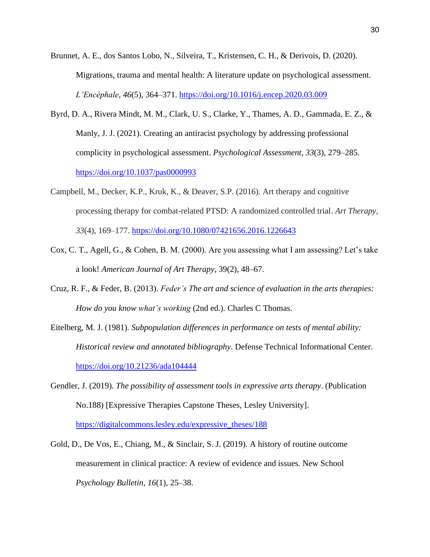- Brunnet, A. E., dos Santos Lobo, N., Silveira, T., Kristensen, C. H., & Derivois, D. (2020). Migrations, trauma and mental health: A literature update on psychological assessment. *L'Encéphale*, *46*(5), 364–371. <https://doi.org/10.1016/j.encep.2020.03.009>
- Byrd, D. A., Rivera Mindt, M. M., Clark, U. S., Clarke, Y., Thames, A. D., Gammada, E. Z., & Manly, J. J. (2021). Creating an antiracist psychology by addressing professional complicity in psychological assessment. *Psychological Assessment*, *33*(3), 279–285[.](https://doi.org/10.1037/pas0000993) <https://doi.org/10.1037/pas0000993>
- Campbell, M., Decker, K.P., Kruk, K., & Deaver, S.P. (2016). Art therapy and cognitive processing therapy for combat-related PTSD: A randomized controlled trial. *Art Therapy*, *33*(4), 169–177.<https://doi.org/10.1080/07421656.2016.1226643>
- Cox, C. T., Agell, G., & Cohen, B. M. (2000). Are you assessing what I am assessing? Let's take a look! *American Journal of Art Therapy*, 39(2), 48–67.
- Cruz, R. F., & Feder, B. (2013). *Feder's The art and science of evaluation in the arts therapies: How do you know what's working* (2nd ed.). Charles C Thomas.
- Eitelberg, M. J. (1981). *Subpopulation differences in performance on tests of mental ability: Historical review and annotated bibliography*. Defense Technical Informational Center. <https://doi.org/10.21236/ada104444>
- Gendler, J. (2019). *The possibility of assessment tools in expressive arts therapy*. (Publication No.188) [Expressive Therapies Capstone Theses, Lesley University][.](https://digitalcommons.lesley.edu/expressive_theses/188) [https://digitalcommons.lesley.edu/expressive\\_theses/188](https://digitalcommons.lesley.edu/expressive_theses/188)
- Gold, D., De Vos, E., Chiang, M., & Sinclair, S. J. (2019). A history of routine outcome measurement in clinical practice: A review of evidence and issues. New School *Psychology Bulletin*, *16*(1), 25–38.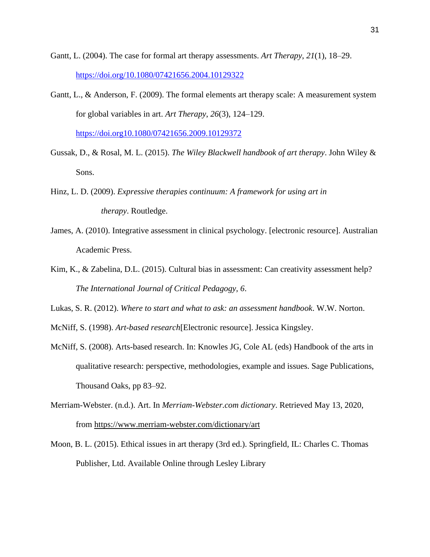- Gantt, L. (2004). The case for formal art therapy assessments. *Art Therapy*, *21*(1), 18–29. <https://doi.org/10.1080/07421656.2004.10129322>
- Gantt, L., & Anderson, F. (2009). The formal elements art therapy scale: A measurement system for global variables in art. *Art Therapy*, *26*(3), 124–129. <https://doi.org10.1080/07421656.2009.10129372>
- Gussak, D., & Rosal, M. L. (2015). *The Wiley Blackwell handbook of art therapy*. John Wiley & Sons.
- Hinz, L. D. (2009). *Expressive therapies continuum: A framework for using art in therapy*. Routledge.
- James, A. (2010). Integrative assessment in clinical psychology. [electronic resource]. Australian Academic Press.
- Kim, K., & Zabelina, D.L. (2015). Cultural bias in assessment: Can creativity assessment help? *The International Journal of Critical Pedagogy, 6*.
- Lukas, S. R. (2012). *Where to start and what to ask: an assessment handbook*. W.W. Norton.
- McNiff, S. (1998). *Art-based research*[Electronic resource]. Jessica Kingsley.
- McNiff, S. (2008). Arts-based research. In: Knowles JG, Cole AL (eds) Handbook of the arts in qualitative research: perspective, methodologies, example and issues. Sage Publications, Thousand Oaks, pp 83–92.
- Merriam-Webster. (n.d.). Art. In *Merriam-Webster.com dictionary*. Retrieved May 13, 2020, from <https://www.merriam-webster.com/dictionary/art>
- Moon, B. L. (2015). Ethical issues in art therapy (3rd ed.). Springfield, IL: Charles C. Thomas Publisher, Ltd. Available Online through Lesley Library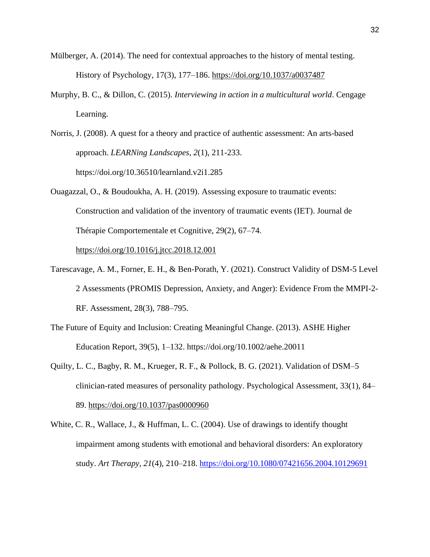- Mülberger, A. (2014). The need for contextual approaches to the history of mental testing. History of Psychology, 17(3), 177–186. <https://doi.org/10.1037/a0037487>
- Murphy, B. C., & Dillon, C. (2015). *Interviewing in action in a multicultural world*. Cengage Learning.

Norris, J. (2008). A quest for a theory and practice of authentic assessment: An arts-based approach. *LEARNing Landscapes*, *2*(1), 211-233. https://doi.org/10.36510/learnland.v2i1.285

Ouagazzal, O., & Boudoukha, A. H. (2019). Assessing exposure to traumatic events: Construction and validation of the inventory of traumatic events (IET). Journal de Thérapie Comportementale et Cognitive, 29(2), 67–74[.](https://doi.org/10.1016/j.jtcc.2018.12.001)

<https://doi.org/10.1016/j.jtcc.2018.12.001>

- Tarescavage, A. M., Forner, E. H., & Ben-Porath, Y. (2021). Construct Validity of DSM-5 Level 2 Assessments (PROMIS Depression, Anxiety, and Anger): Evidence From the MMPI-2- RF. Assessment, 28(3), 788–795.
- The Future of Equity and Inclusion: Creating Meaningful Change. (2013). ASHE Higher Education Report, 39(5), 1–132. https://doi.org/10.1002/aehe.20011
- Quilty, L. C., Bagby, R. M., Krueger, R. F., & Pollock, B. G. (2021). Validation of DSM–5 clinician-rated measures of personality pathology. Psychological Assessment, 33(1), 84– 89[.](https://doi.org/10.1037/pas0000960) <https://doi.org/10.1037/pas0000960>
- White, C. R., Wallace, J., & Huffman, L. C. (2004). Use of drawings to identify thought impairment among students with emotional and behavioral disorders: An exploratory study. *Art Therapy*, *21*(4), 210–218. <https://doi.org/10.1080/07421656.2004.10129691>